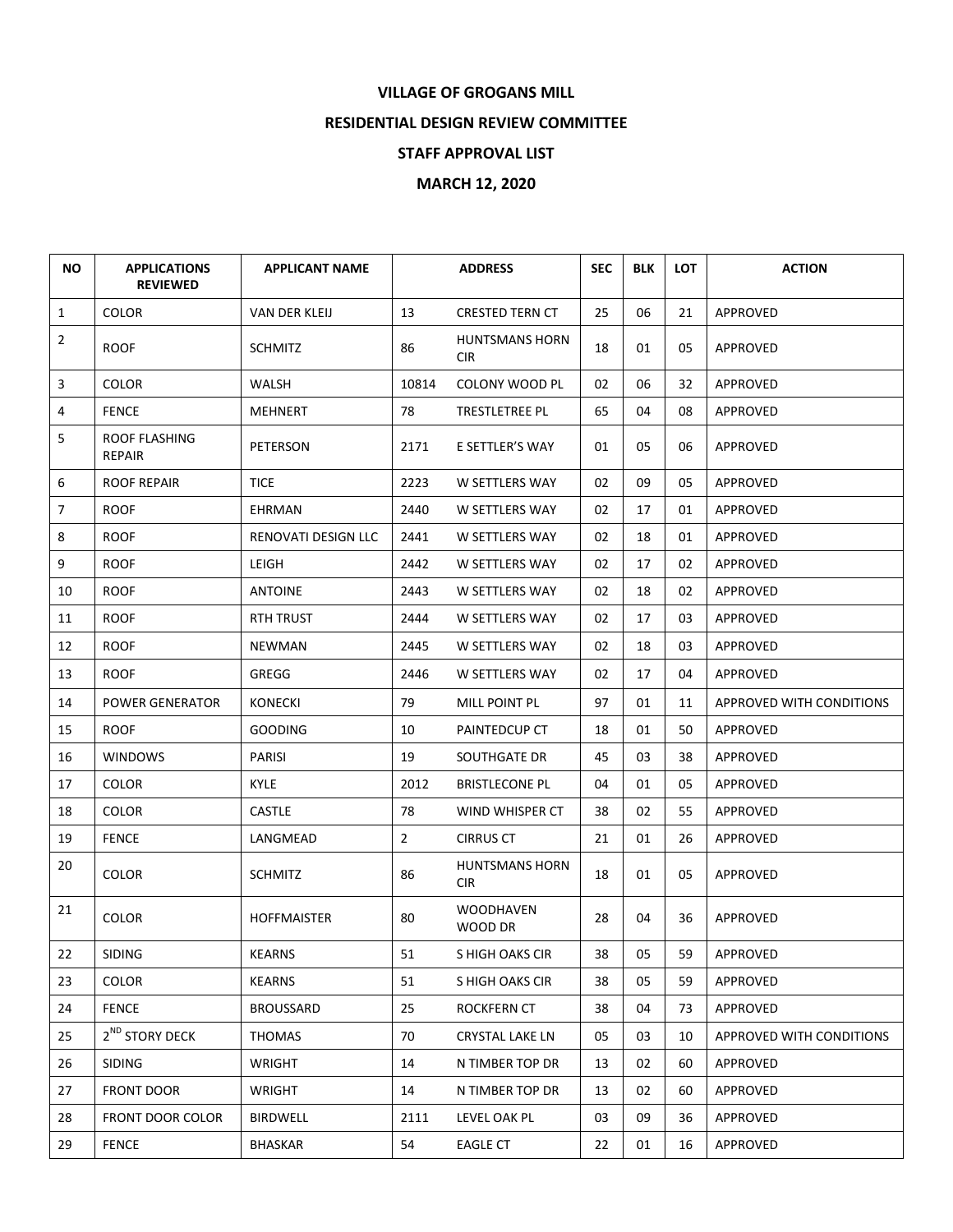## **VILLAGE OF GROGANS MILL**

## **RESIDENTIAL DESIGN REVIEW COMMITTEE**

## **STAFF APPROVAL LIST**

## **MARCH 12, 2020**

| <b>NO</b>      | <b>APPLICATIONS</b><br><b>REVIEWED</b> | <b>APPLICANT NAME</b> | <b>ADDRESS</b> |                                     | <b>SEC</b> | <b>BLK</b> | <b>LOT</b> | <b>ACTION</b>                   |
|----------------|----------------------------------------|-----------------------|----------------|-------------------------------------|------------|------------|------------|---------------------------------|
| $\mathbf{1}$   | <b>COLOR</b>                           | VAN DER KLEIJ         | 13             | <b>CRESTED TERN CT</b>              | 25         | 06         | 21         | APPROVED                        |
| $\overline{2}$ | <b>ROOF</b>                            | <b>SCHMITZ</b>        | 86             | <b>HUNTSMANS HORN</b><br><b>CIR</b> | 18         | 01         | 05         | APPROVED                        |
| 3              | <b>COLOR</b>                           | WALSH                 | 10814          | <b>COLONY WOOD PL</b>               | 02         | 06         | 32         | APPROVED                        |
| 4              | <b>FENCE</b>                           | MEHNERT               | 78             | TRESTLETREE PL                      | 65         | 04         | 08         | APPROVED                        |
| 5              | ROOF FLASHING<br><b>REPAIR</b>         | PETERSON              | 2171           | E SETTLER'S WAY                     | 01         | 05         | 06         | APPROVED                        |
| 6              | <b>ROOF REPAIR</b>                     | <b>TICE</b>           | 2223           | W SETTLERS WAY                      | 02         | 09         | 05         | APPROVED                        |
| $\overline{7}$ | <b>ROOF</b>                            | EHRMAN                | 2440           | W SETTLERS WAY                      | 02         | 17         | 01         | APPROVED                        |
| 8              | <b>ROOF</b>                            | RENOVATI DESIGN LLC   | 2441           | W SETTLERS WAY                      | 02         | 18         | 01         | APPROVED                        |
| 9              | <b>ROOF</b>                            | LEIGH                 | 2442           | W SETTLERS WAY                      | 02         | 17         | 02         | APPROVED                        |
| 10             | <b>ROOF</b>                            | <b>ANTOINE</b>        | 2443           | W SETTLERS WAY                      | 02         | 18         | 02         | APPROVED                        |
| 11             | <b>ROOF</b>                            | <b>RTH TRUST</b>      | 2444           | W SETTLERS WAY                      | 02         | 17         | 03         | APPROVED                        |
| 12             | <b>ROOF</b>                            | <b>NEWMAN</b>         | 2445           | W SETTLERS WAY                      | 02         | 18         | 03         | APPROVED                        |
| 13             | <b>ROOF</b>                            | GREGG                 | 2446           | W SETTLERS WAY                      | 02         | 17         | 04         | APPROVED                        |
| 14             | <b>POWER GENERATOR</b>                 | <b>KONECKI</b>        | 79             | MILL POINT PL                       | 97         | 01         | 11         | <b>APPROVED WITH CONDITIONS</b> |
| 15             | <b>ROOF</b>                            | <b>GOODING</b>        | 10             | PAINTEDCUP CT                       | 18         | 01         | 50         | <b>APPROVED</b>                 |
| 16             | <b>WINDOWS</b>                         | <b>PARISI</b>         | 19             | SOUTHGATE DR                        | 45         | 03         | 38         | APPROVED                        |
| 17             | <b>COLOR</b>                           | <b>KYLE</b>           | 2012           | <b>BRISTLECONE PL</b>               | 04         | 01         | 05         | APPROVED                        |
| 18             | <b>COLOR</b>                           | CASTLE                | 78             | WIND WHISPER CT                     | 38         | 02         | 55         | APPROVED                        |
| 19             | <b>FENCE</b>                           | LANGMEAD              | $\overline{2}$ | <b>CIRRUS CT</b>                    | 21         | 01         | 26         | APPROVED                        |
| 20             | <b>COLOR</b>                           | <b>SCHMITZ</b>        | 86             | <b>HUNTSMANS HORN</b><br><b>CIR</b> | 18         | 01         | 05         | <b>APPROVED</b>                 |
| 21             | <b>COLOR</b>                           | <b>HOFFMAISTER</b>    | 80             | <b>WOODHAVEN</b><br>WOOD DR         | 28         | 04         | 36         | APPROVED                        |
| 22             | SIDING                                 | <b>KEARNS</b>         | 51             | S HIGH OAKS CIR                     | 38         | 05         | 59         | APPROVED                        |
| 23             | <b>COLOR</b>                           | <b>KEARNS</b>         | 51             | S HIGH OAKS CIR                     | 38         | 05         | 59         | APPROVED                        |
| 24             | <b>FENCE</b>                           | <b>BROUSSARD</b>      | 25             | ROCKFERN CT                         | 38         | 04         | 73         | APPROVED                        |
| 25             | 2 <sup>ND</sup> STORY DECK             | <b>THOMAS</b>         | 70             | <b>CRYSTAL LAKE LN</b>              | 05         | 03         | 10         | APPROVED WITH CONDITIONS        |
| 26             | <b>SIDING</b>                          | WRIGHT                | 14             | N TIMBER TOP DR                     | 13         | 02         | 60         | APPROVED                        |
| 27             | <b>FRONT DOOR</b>                      | <b>WRIGHT</b>         | 14             | N TIMBER TOP DR                     | 13         | 02         | 60         | APPROVED                        |
| 28             | <b>FRONT DOOR COLOR</b>                | <b>BIRDWELL</b>       | 2111           | LEVEL OAK PL                        | 03         | 09         | 36         | APPROVED                        |
| 29             | <b>FENCE</b>                           | BHASKAR               | 54             | <b>EAGLE CT</b>                     | 22         | 01         | 16         | APPROVED                        |